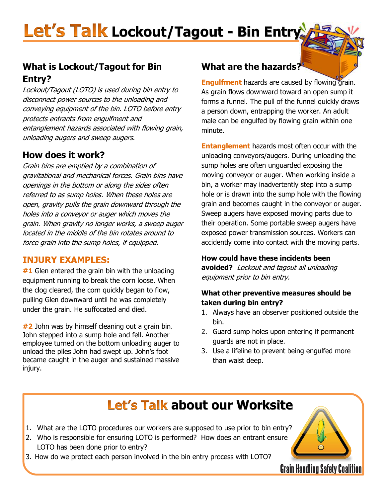# Let's Talk Lockout/Tagout - Bin Entry

#### **What is Lockout/Tagout for Bin Entry?**

Lockout/Tagout (LOTO) is used during bin entry to disconnect power sources to the unloading and conveying equipment of the bin. LOTO before entry protects entrants from engulfment and entanglement hazards associated with flowing grain, unloading augers and sweep augers.

#### **How does it work?**

Grain bins are emptied by a combination of gravitational and mechanical forces. Grain bins have openings in the bottom or along the sides often referred to as sump holes. When these holes are open, gravity pulls the grain downward through the holes into a conveyor or auger which moves the grain. When gravity no longer works, a sweep auger located in the middle of the bin rotates around to force grain into the sump holes, if equipped.

#### **INJURY EXAMPLES:**

**#1** Glen entered the grain bin with the unloading equipment running to break the corn loose. When the clog cleared, the corn quickly began to flow, pulling Glen downward until he was completely under the grain. He suffocated and died.

**#2** John was by himself cleaning out a grain bin. John stepped into a sump hole and fell. Another employee turned on the bottom unloading auger to unload the piles John had swept up. John's foot became caught in the auger and sustained massive injury.

#### **What are the hazards?**

**Engulfment** hazards are caused by flowing grain. As grain flows downward toward an open sump it forms a funnel. The pull of the funnel quickly draws a person down, entrapping the worker. An adult male can be engulfed by flowing grain within one minute.

**Entanglement** hazards most often occur with the unloading conveyors/augers. During unloading the sump holes are often unguarded exposing the moving conveyor or auger. When working inside a bin, a worker may inadvertently step into a sump hole or is drawn into the sump hole with the flowing grain and becomes caught in the conveyor or auger. Sweep augers have exposed moving parts due to their operation. Some portable sweep augers have exposed power transmission sources. Workers can accidently come into contact with the moving parts.

#### **How could have these incidents been**

**avoided?** Lockout and tagout all unloading equipment prior to bin entry.

#### **What other preventive measures should be taken during bin entry?**

- 1. Always have an observer positioned outside the bin.
- 2. Guard sump holes upon entering if permanent guards are not in place.
- 3. Use a lifeline to prevent being engulfed more than waist deep.

**Grain Handling Safety Coalition** 

### **Let's Talk about our Worksite**

- 1. What are the LOTO procedures our workers are supposed to use prior to bin entry?
- 2. Who is responsible for ensuring LOTO is performed? How does an entrant ensure LOTO has been done prior to entry?
- 3. How do we protect each person involved in the bin entry process with LOTO?